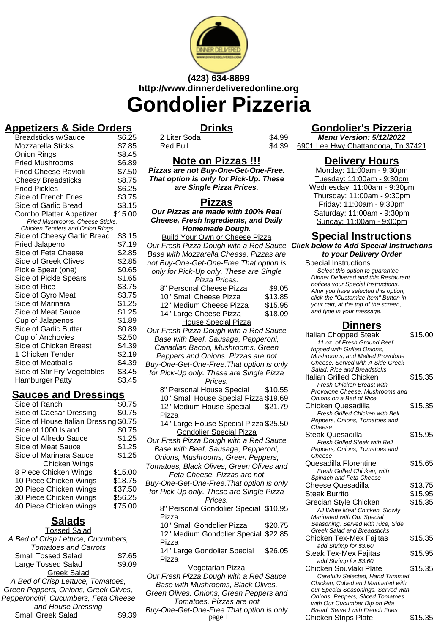

# **(423) 634-8899 http://www.dinnerdeliveredonline.org Gondolier Pizzeria**

# **Appetizers & Side Orders**

| <b>Breadsticks w/Sauce</b>      | \$6.25  |
|---------------------------------|---------|
| Mozzarella Sticks               | \$7.85  |
| Onion Rings                     | \$8.45  |
| <b>Fried Mushrooms</b>          | \$6.89  |
| <b>Fried Cheese Ravioli</b>     | \$7.50  |
| <b>Cheesy Breadsticks</b>       | \$8.75  |
| <b>Fried Pickles</b>            | \$6.25  |
| Side of French Fries            | \$3.75  |
| Side of Garlic Bread            | \$3.15  |
| Combo Platter Appetizer         | \$15.00 |
| Fried Mushrooms, Cheese Sticks, |         |
| Chicken Tenders and Onion Rings |         |
| Side of Cheesy Garlic Bread     | \$3.15  |
| <b>Fried Jalapeno</b>           | \$7.19  |
| Side of Feta Cheese             | \$2.85  |
| <b>Side of Greek Olives</b>     | \$2.85  |
| Pickle Spear (one)              | \$0.65  |
| Side of Pickle Spears           | \$1.65  |
| Side of Rice                    | \$3.75  |
| Side of Gyro Meat               | \$3.75  |
| Side of Marinara                | \$1.25  |
| Side of Meat Sauce              | \$1.25  |
| Cup of Jalapenos                | \$1.89  |
| Side of Garlic Butter           | \$0.89  |
| Cup of Anchovies                | \$2.50  |
| Side of Chicken Breast          | \$4.39  |
| 1 Chicken Tender                | \$2.19  |
| Side of Meatballs               | \$4.39  |
| Side of Stir Fry Vegetables     | \$3.45  |
| Hamburger Patty                 | \$3.45  |
|                                 |         |

#### **Sauces and Dressings**

| Side of Ranch                  | \$0.75  |
|--------------------------------|---------|
| Side of Caesar Dressing        | \$0.75  |
| Side of House Italian Dressing | \$0.75  |
| Side of 1000 Island            | \$0.75  |
| Side of Alfredo Sauce          | \$1.25  |
| Side of Meat Sauce             | \$1.25  |
| Side of Marinara Sauce         | \$1.25  |
| <b>Chicken Wings</b>           |         |
| 8 Piece Chicken Wings          | \$15.00 |
| 10 Piece Chicken Wings         | \$18.75 |
| 20 Piece Chicken Wings         | \$37.50 |
| 30 Piece Chicken Wings         | \$56.25 |
| 40 Piece Chicken Wings         | \$75.00 |
|                                |         |

# **Salads**

| <b>Tossed Salad</b>                |        |  |
|------------------------------------|--------|--|
| A Bed of Crisp Lettuce, Cucumbers, |        |  |
| <b>Tomatoes and Carrots</b>        |        |  |
| <b>Small Tossed Salad</b>          | \$7.65 |  |
| Large Tossed Salad                 | \$9.09 |  |
| <b>Greek Salad</b>                 |        |  |
| A Bed of Crisp Lettuce, Tomatoes,  |        |  |

Green Peppers, Onions, Greek Olives, Pepperoncini, Cucumbers, Feta Cheese and House Dressing Small Greek Salad \$9.39

## **Drinks**

2 Liter Soda \$4.99 Red Bull

# **Gondolier's Pizzeria**

**Menu Version: 5/12/2022** 6901 Lee Hwy Chattanooga, Tn 37421

### **Delivery Hours**

Monday: 11:00am - 9:30pm Tuesday: 11:00am - 9:30pm Wednesday: 11:00am - 9:30pm Thursday: 11:00am - 9:30pm Friday: 11:00am - 9:30pm Saturday: 11:00am - 9:30pm Sunday: 11:00am - 9:00pm

## **Special Instructions**

Our Fresh Pizza Dough with a Red Sauce **Click below to Add Special Instructions to your Delivery Order**

Special Instructions Select this option to quarantee Dinner Delivered and this Restaurant notices your Special Instructions. After you have selected this option, click the "Customize Item" Button in your cart, at the top of the screen, and type in your message.

## **Dinners**

| ougn with a Red Sauce<br>Sausage, Pepperoni,<br>ı, Mushrooms, Green<br>nions. Pizzas are not<br>Free. That option is only                     |         | Italian Chopped Steak<br>11 oz. of Fresh Ground Beef<br>topped with Grilled Onions,<br>Mushrooms, and Melted Provolone<br>Cheese. Served with A Side Greek<br>Salad, Rice and Breadsticks                                                             | \$15.00 |
|-----------------------------------------------------------------------------------------------------------------------------------------------|---------|-------------------------------------------------------------------------------------------------------------------------------------------------------------------------------------------------------------------------------------------------------|---------|
| These are Single Pizza<br>rices.                                                                                                              |         | Italian Grilled Chicken<br><b>Fresh Chicken Breast with</b>                                                                                                                                                                                           | \$15.35 |
| ิ<br>ขรe Special<br>se Special Pizza \$19.69                                                                                                  | \$10.55 | Provolone Cheese, Mushrooms and<br>Onions on a Bed of Rice.                                                                                                                                                                                           |         |
| puse Special                                                                                                                                  | \$21.79 | Chicken Quesadilla<br><b>Fresh Grilled Chicken with Bell</b>                                                                                                                                                                                          | \$15.35 |
| se Special Pizza \$25.50                                                                                                                      |         | Peppers, Onions, Tomatoes and<br>Cheese                                                                                                                                                                                                               |         |
| <u>Special Pizza</u><br>ough with a Red Sauce<br>Sausage, Pepperoni,                                                                          |         | Steak Quesadilla<br><b>Fresh Grilled Steak with Bell</b><br>Peppers, Onions, Tomatoes and<br>Cheese                                                                                                                                                   | \$15.95 |
| oms, Green Peppers,<br>lives, Green Olives and<br>e. Pizzas are not                                                                           |         | Quesadilla Florentine<br>Fresh Grilled Chicken, with<br>Spinach and Feta Cheese                                                                                                                                                                       | \$15.65 |
| Free. That option is only                                                                                                                     |         | Cheese Quesadilla                                                                                                                                                                                                                                     | \$13.75 |
| These are Single Pizza<br>rices.                                                                                                              |         | Steak Burrito                                                                                                                                                                                                                                         | \$15.95 |
| ondolier Special \$10.95                                                                                                                      |         | Grecian Style Chicken<br>All White Meat Chicken, Slowly<br>Marinated with Our Special                                                                                                                                                                 | \$15.35 |
| dolier Pizza                                                                                                                                  | \$20.75 | Seasoning. Served with Rice, Side<br><b>Greek Salad and Breadsticks</b>                                                                                                                                                                               |         |
| ondolier Special                                                                                                                              | \$22.85 | Chicken Tex-Mex Fajitas<br>add Shrimp for \$3.60                                                                                                                                                                                                      | \$15.35 |
| dolier Special                                                                                                                                | \$26.05 | Steak Tex-Mex Fajitas<br>add Shrimp for \$3.60                                                                                                                                                                                                        | \$15.95 |
| <u>arian Pizza</u><br>ough with a Red Sauce<br>rooms, Black Olives,<br>ns, Green Peppers and<br>. Pizzas are not<br>Free. That option is only |         | Chicken Souvlaki Plate<br>Carefully Selected, Hand Trimmed<br>Chicken, Cubed and Marinated with<br>our Special Seasonings. Served with<br>Onions, Peppers, Sliced Tomatoes<br>with Our Cucumber Dip on Pita<br><b>Bread. Served with French Fries</b> | \$15.35 |
| page 1                                                                                                                                        |         | <b>Chicken Strips Plate</b>                                                                                                                                                                                                                           | \$15.35 |



#### **Pizzas**

**Our Pizzas are made with 100% Real Cheese, Fresh Ingredients, and Daily Homemade Dough.**

Build Your Own or Cheese Pizza Base with Mozzarella Cheese. Pizzas are not Buy-One-Get-One-Free.That option is only for Pick-Up only. These are Single Pizza Prices.

- 8" Personal Cheese Pizza \$9.05<br>10" Small Cheese Pizza \$13.85 10" Small Cheese Pizza 12" Medium Cheese Pizza \$15.95 14" Large Cheese Pizza \$18.09
	- House Special Pizza

Our Fresh Pizza Dough with a Red Sauce Base with Beef, Sausage, Pepperoni, Canadian Bacon, Mushrooms, Green Peppers and Onions. Pizzas are not

Buy-One-Get-One-Free.That option is only for Pick-Up only. These are Single Pizza

Prices.

8" Personal House Special \$10.55 10" Small House Special Pizza \$19.69 12" Medium House Special Pizza \$21.79

14" Large House Special Pizza \$25.50 Gondolier Special Pizza

Our Fresh Pizza Dough with a Red Sauce Base with Beef, Sausage, Pepperoni, Onions, Mushrooms, Green Peppers,

Tomatoes, Black Olives, Green Olives and Feta Cheese. Pizzas are not

Buy-One-Get-One-Free.That option is only

for Pick-Up only. These are Single Pizza Prices.

8" Personal Gondolier Special \$10.95 Pizza

10" Small Gondolier Pizza \$20.75 12" Medium Gondolier Special \$22.85 Pizza 14" Large Gondolier Special Pizza \$26.05

#### Vegetarian Pizza

Our Fresh Pizza Dough with a Red Sauce Base with Mushrooms, Black Olives, Green Olives, Onions, Green Peppers and

Tomatoes. Pizzas are not Buy-One-Get-One-Free.That option is only<br>page 1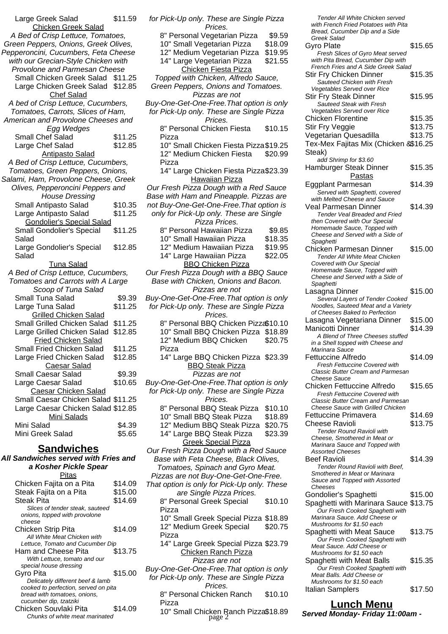| Large Greek Salad                                                 | \$11.59            |  |
|-------------------------------------------------------------------|--------------------|--|
| <b>Chicken Greek Salad</b>                                        |                    |  |
| A Bed of Crisp Lettuce, Tomatoes,                                 |                    |  |
| Green Peppers, Onions, Greek Olives,                              |                    |  |
| Pepperoncini, Cucumbers, Feta Cheese                              |                    |  |
| with our Grecian-Style Chicken with                               |                    |  |
| Provolone and Parmesan Cheese                                     |                    |  |
| Small Chicken Greek Salad \$11.25                                 |                    |  |
| Large Chicken Greek Salad \$12.85                                 |                    |  |
| <b>Chef Salad</b>                                                 |                    |  |
| A bed of Crisp Lettuce, Cucumbers,                                |                    |  |
| Tomatoes, Carrots, Slices of Ham,                                 |                    |  |
| American and Provolone Cheeses and                                |                    |  |
| Egg Wedges                                                        |                    |  |
| Small Chef Salad<br>Large Chef Salad                              | \$11.25<br>\$12.85 |  |
|                                                                   |                    |  |
| <b>Antipasto Salad</b><br>A Bed of Crisp Lettuce, Cucumbers,      |                    |  |
| Tomatoes, Green Peppers, Onions,                                  |                    |  |
| Salami, Ham, Provolone Cheese, Greek                              |                    |  |
| Olives, Pepperoncini Peppers and                                  |                    |  |
| <b>House Dressing</b>                                             |                    |  |
| Small Antipasto Salad                                             | \$10.35            |  |
| Large Antipasto Salad                                             | \$11.25            |  |
| <b>Gondolier's Special Salad</b>                                  |                    |  |
| <b>Small Gondolier's Special</b>                                  | \$11.25            |  |
| Salad                                                             |                    |  |
| Large Gondolier's Special                                         | \$12.85            |  |
| Salad                                                             |                    |  |
| <u>Tuna Salad</u>                                                 |                    |  |
| A Bed of Crisp Lettuce, Cucumbers,                                |                    |  |
| Tomatoes and Carrots with A Large                                 |                    |  |
| Scoop of Tuna Salad                                               |                    |  |
| Small Tuna Salad                                                  | \$9.39             |  |
| Large Tuna Salad                                                  | \$11.25            |  |
| <b>Grilled Chicken Salad</b>                                      |                    |  |
| Small Grilled Chicken Salad                                       | \$11.25            |  |
| Large Grilled Chicken Salad                                       | \$12.85            |  |
| Fried Chicken Salad                                               |                    |  |
| Small Fried Chicken Salad                                         | \$11.25            |  |
| Large Fried Chicken Salad                                         | \$12.85            |  |
| <b>Caesar Salad</b>                                               |                    |  |
| Small Caesar Salad                                                | \$9.39             |  |
| Large Caesar Salad                                                | \$10.65            |  |
| <b>Caesar Chicken Salad</b><br>Small Caesar Chicken Salad \$11.25 |                    |  |
|                                                                   |                    |  |
| Large Caesar Chicken Salad \$12.85<br>Mini Salads                 |                    |  |
| Mini Salad                                                        | \$4.39             |  |
| Mini Greek Salad                                                  | \$5.65             |  |
|                                                                   |                    |  |
| <b>Sandwiches</b>                                                 |                    |  |
| All Sandwiches served with Fries and                              |                    |  |
| a Kosher Pickle Spear                                             |                    |  |
| הונח                                                              |                    |  |

| ιτas                                 |         |
|--------------------------------------|---------|
| Chicken Fajita on a Pita             | \$14.09 |
| Steak Fajita on a Pita               | \$15.00 |
| <b>Steak Pita</b>                    | \$14.69 |
| Slices of tender steak, sauteed      |         |
| onions, topped with provolone        |         |
| cheese                               |         |
| Chicken Strip Pita                   | \$14.09 |
| All White Meat Chicken with          |         |
| Lettuce, Tomato and Cucumber Dip     |         |
| Ham and Cheese Pita                  | \$13.75 |
| With Lettuce, tomato and our         |         |
| special house dressing               |         |
| Gyro Pita                            | \$15.00 |
| Delicately different beef & lamb     |         |
| cooked to perfection, served on pita |         |
| bread with tomatoes, onions,         |         |
| cucumber dip, tzatziki               |         |
| Chicken Souvlaki Pita                | \$14.09 |
| Chunks of white meat marinated       |         |

|                                                                                       | for Pick-Up only. These are Single Pizza |
|---------------------------------------------------------------------------------------|------------------------------------------|
| Prices.<br>8" Personal Vegetarian Pizza                                               | \$9.59                                   |
| 10" Small Vegetarian Pizza                                                            | \$18.09                                  |
| 12" Medium Vegetarian Pizza                                                           | \$19.95                                  |
| 14" Large Vegetarian Pizza                                                            | \$21.55                                  |
| <b>Chicken Fiesta Pizza</b>                                                           |                                          |
| Topped with Chicken, Alfredo Sauce,                                                   |                                          |
| Green Peppers, Onions and Tomatoes.                                                   |                                          |
| Pizzas are not                                                                        |                                          |
| Buy-One-Get-One-Free. That option is only                                             |                                          |
| for Pick-Up only. These are Single Pizza                                              |                                          |
| Prices.                                                                               |                                          |
| 8" Personal Chicken Fiesta                                                            | \$10.15                                  |
| Pizza                                                                                 |                                          |
| 10" Small Chicken Fiesta Pizza \$19.25                                                |                                          |
| 12" Medium Chicken Fiesta                                                             | \$20.99                                  |
| Pizza                                                                                 |                                          |
| 14" Large Chicken Fiesta Pizza\$23.39                                                 |                                          |
| <b>Hawaiian Pizza</b><br>Our Fresh Pizza Dough with a Red Sauce                       |                                          |
| Base with Ham and Pineapple. Pizzas are                                               |                                          |
| not Buy-One-Get-One-Free. That option is                                              |                                          |
| only for Pick-Up only. These are Single                                               |                                          |
| Pizza Prices.                                                                         |                                          |
| 8" Personal Hawaiian Pizza                                                            | \$9.85                                   |
| 10" Small Hawaiian Pizza                                                              | \$18.35                                  |
| 12" Medium Hawaiian Pizza                                                             | \$19.95                                  |
| 14" Large Hawaiian Pizza                                                              | \$22.05                                  |
| <b>BBQ Chicken Pizza</b>                                                              |                                          |
| Our Fresh Pizza Dough with a BBQ Sauce                                                |                                          |
| Base with Chicken, Onions and Bacon.                                                  |                                          |
| Pizzas are not                                                                        |                                          |
| Buy-One-Get-One-Free. That option is only<br>for Pick-Up only. These are Single Pizza |                                          |
| Prices.                                                                               |                                          |
| 8" Personal BBQ Chicken Pizza\$10.10                                                  |                                          |
|                                                                                       |                                          |
|                                                                                       |                                          |
| 10" Small BBQ Chicken Pizza<br>12" Medium BBQ Chicken                                 | \$18.89<br>\$20.75                       |
| Pizza                                                                                 |                                          |
| 14" Large BBQ Chicken Pizza \$23.39                                                   |                                          |
| <b>BBQ Steak Pizza</b>                                                                |                                          |
| Pizzas are not                                                                        |                                          |
| Buy-One-Get-One-Free. That option is only                                             |                                          |
| for Pick-Up only. These are Single Pizza                                              |                                          |
| Prices.                                                                               |                                          |
| 8" Personal BBQ Steak Pizza                                                           | \$10.10                                  |
| 10" Small BBQ Steak Pizza                                                             | \$18.89                                  |
| 12" Medium BBQ Steak Pizza                                                            | \$20.75                                  |
| 14" Large BBQ Steak Pizza                                                             | \$23.39                                  |
| <b>Greek Special Pizza</b><br>Our Fresh Pizza Dough with a Red Sauce                  |                                          |
| Base with Feta Cheese, Black Olives,                                                  |                                          |
| Tomatoes, Spinach and Gyro Meat.                                                      |                                          |
| Pizzas are not Buy-One-Get-One-Free.                                                  |                                          |
| That option is only for Pick-Up only. These                                           |                                          |
| are Single Pizza Prices.                                                              |                                          |
| 8" Personal Greek Special                                                             | \$10.10                                  |
| Pizza                                                                                 |                                          |
| 10" Small Greek Special Pizza \$18.89                                                 | \$20.75                                  |
| 12" Medium Greek Special<br>Pizza                                                     |                                          |
| 14" Large Greek Special Pizza \$23.79                                                 |                                          |
| <b>Chicken Ranch Pizza</b>                                                            |                                          |
| Pizzas are not                                                                        |                                          |
| Buy-One-Get-One-Free. That option is only                                             |                                          |
| for Pick-Up only. These are Single Pizza                                              |                                          |
| Prices.                                                                               |                                          |
| 8" Personal Chicken Ranch<br>Pizza                                                    | \$10.10                                  |
| 10" Small Chicken Ranch Pizza\$18.89<br>page 2                                        |                                          |

| Tender All White Chicken served                                                  |                    |
|----------------------------------------------------------------------------------|--------------------|
| with French Fried Potatoes with Pita<br>Bread, Cucumber Dip and a Side           |                    |
| <b>Greek Salad</b>                                                               |                    |
| Gyro Plate                                                                       | \$15.65            |
| Fresh Slices of Gyro Meat served<br>with Pita Bread, Cucumber Dip with           |                    |
| French Fries and A Side Greek Salad                                              |                    |
| <b>Stir Fry Chicken Dinner</b>                                                   | \$15.35            |
| Sauteed Chicken with Fresh                                                       |                    |
| Vegetables Served over Rice                                                      | \$15.95            |
| Stir Fry Steak Dinner<br>Sauteed Steak with Fresh                                |                    |
| Vegetables Served over Rice                                                      |                    |
| <b>Chicken Florentine</b>                                                        | \$15.35            |
| Stir Fry Veggie                                                                  | \$13.75            |
| Vegetarian Quesadilla                                                            | \$13.75            |
| Tex-Mex Fajitas Mix (Chicken &\$16.25                                            |                    |
| Steak)<br>add Shrimp for \$3.60                                                  |                    |
| Hamburger Steak Dinner                                                           | \$15.35            |
| <u>Pastas</u>                                                                    |                    |
| Eggplant Parmesan                                                                | \$14.39            |
| Served with Spaghetti, covered                                                   |                    |
| with Melted Cheese and Sauce                                                     |                    |
| Veal Parmesan Dinner<br>Tender Veal Breaded and Fried                            | \$14.39            |
| then Covered with Our Special                                                    |                    |
| Homemade Sauce, Topped with                                                      |                    |
| Cheese and Served with a Side of                                                 |                    |
| Spaghetti<br>Chicken Parmesan Dinner                                             | \$15.00            |
| <b>Tender All White Meat Chicken</b>                                             |                    |
| Covered with Our Special                                                         |                    |
| Homemade Sauce, Topped with<br>Cheese and Served with a Side of                  |                    |
| Spaghetti                                                                        |                    |
| Lasagna Dinner                                                                   | \$15.00            |
| Several Layers of Tender Cooked                                                  |                    |
| Noodles, Sauteed Meat and a Variety<br>of Cheeses Baked to Perfection            |                    |
|                                                                                  |                    |
|                                                                                  |                    |
| Lasagna Vegetariana Dinner<br>Manicotti Dinner                                   | \$15.00<br>\$14.39 |
| A Blend of Three Cheeses stuffed                                                 |                    |
| in a Shell topped with Cheese and                                                |                    |
| Marinara Sauce                                                                   |                    |
| <b>Fettuccine Alfredo</b><br>Fresh Fettuccine Covered with                       | \$14.09            |
| <b>Classic Butter Cream and Parmesan</b>                                         |                    |
| Cheese Sauce                                                                     |                    |
| Chicken Fettuccine Alfredo                                                       | \$15.65            |
| <b>Fresh Fettuccine Covered with</b><br><b>Classic Butter Cream and Parmesan</b> |                    |
| Cheese Sauce with Grilled Chicken                                                |                    |
| <b>Fettuccine Primavera</b>                                                      | \$14.69            |
| Cheese Ravioli                                                                   | \$13.75            |
| Tender Round Ravioli with<br>Cheese, Smothered in Meat or                        |                    |
| Marinara Sauce and Topped with                                                   |                    |
| <b>Assorted Cheeses</b>                                                          |                    |
| <b>Beef Ravioli</b>                                                              | \$14.39            |
| Tender Round Ravioli with Beef,<br>Smothered in Meat or Marinara                 |                    |
| Sauce and Topped with Assorted                                                   |                    |
| Cheeses                                                                          |                    |
| Gondolier's Spaghetti                                                            | \$15.00            |
| Spaghetti with Marinara Sauce \$13.75<br>Our Fresh Cooked Spaghetti with         |                    |
| Marinara Sauce. Add Cheese or                                                    |                    |
| Mushrooms for \$1.50 each                                                        |                    |
| Spaghetti with Meat Sauce                                                        | \$13.75            |
| Our Fresh Cooked Spaghetti with<br>Meat Sauce. Add Cheese or                     |                    |
| Mushrooms for \$1.50 each                                                        |                    |
| Spaghetti with Meat Balls                                                        | \$15.35            |
| Our Fresh Cooked Spaghetti with<br>Meat Balls. Add Cheese or                     |                    |

### **Lunch Menu**

Italian Samplers **\$17.50** 

**Served Monday- Friday 11:00am -** page 2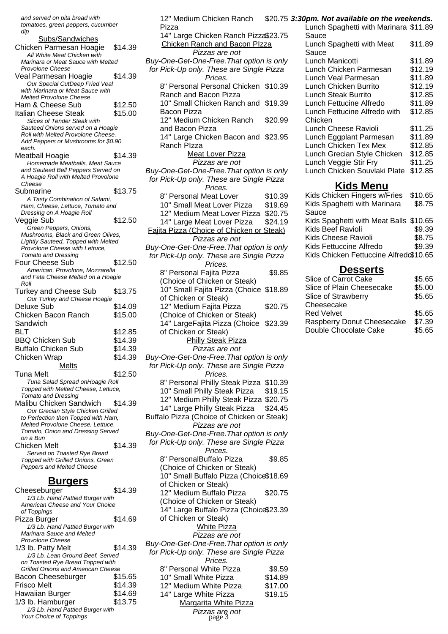and served on pita bread with tomatoes, green peppers, cucumber dip Subs/Sandwiches Chicken Parmesan Hoagie \$14.39 All White Meat Chicken with Marinara or Meat Sauce with Melted Provolone Cheese Veal Parmesan Hoagie \$14.39 Our Special CutDeep Fried Veal with Marinara or Meat Sauce with Melted Provolone Cheese Ham & Cheese Sub \$12.50 Italian Cheese Steak \$15.00 Slices of Tender Steak with Sauteed Onions served on a Hoagie Roll with Melted Provolone Cheese. Add Peppers or Mushrooms for \$0.90 each. Meatball Hoagie \$14.39 Homemade Meatballs, Meat Sauce and Sauteed Bell Peppers Served on A Hoagie Roll with Melted Provolone **Cheese** Submarine \$13.75 A Tasty Combination of Salami, Ham, Cheese, Lettuce, Tomato and Dressing on A Hoagie Roll Veggie Sub \$12.50 Green Peppers, Onions, Mushrooms, Black and Green Olives, Lightly Sauteed, Topped with Melted Provolone Cheese with Lettuce, Tomato and Dressing Four Cheese Sub \$12.50 American, Provolone, Mozzarella and Feta Cheese Melted on a Hoagie Roll Turkey and Cheese Sub \$13.75 Our Turkey and Cheese Hoagie Deluxe Sub \$14.09 Chicken Bacon Ranch **Sandwich** \$15.00 BLT \$12.85 BBQ Chicken Sub \$14.39 Buffalo Chicken Sub \$14.39 Chicken Wrap \$14.39 Melts Tuna Melt \$12.50 Tuna Salad Spread onHoagie Roll Topped with Melted Cheese, Lettuce, Tomato and Dressing Malibu Chicken Sandwich \$14.39 Our Grecian Style Chicken Grilled to Perfection then Topped with Ham, Melted Provolone Cheese, Lettuce, Tomato, Onion and Dressing Served on a Bun Chicken Melt \$14.39 Served on Toasted Rye Bread Topped with Grilled Onions, Green Peppers and Melted Cheese

#### **Burgers**

| Cheeseburger                              | \$14.39 |
|-------------------------------------------|---------|
| 1/3 Lb. Hand Pattied Burger with          |         |
| American Cheese and Your Choice           |         |
| of Toppings                               |         |
| Pizza Burger                              | \$14.69 |
| 1/3 Lb. Hand Pattied Burger with          |         |
| Marinara Sauce and Melted                 |         |
| Provolone Cheese                          |         |
| 1/3 lb. Patty Melt                        | \$14.39 |
| 1/3 Lb. Lean Ground Beef, Served          |         |
| on Toasted Rye Bread Topped with          |         |
| <b>Grilled Onions and American Cheese</b> |         |
| Bacon Cheeseburger                        | \$15.65 |
| Frisco Melt                               | \$14.39 |
| Hawaiian Burger                           | \$14.69 |
| 1/3 lb. Hamburger                         | \$13.75 |
| 1/3 Lb. Hand Pattied Burger with          |         |
| <b>Your Choice of Toppings</b>            |         |

| 12" Medium Chicken Ranch                                                                                           | \$20.75            |
|--------------------------------------------------------------------------------------------------------------------|--------------------|
| Pizza<br>14" Large Chicken Ranch Pizza\$23.75<br>Chicken Ranch and Bacon Plzza                                     |                    |
| Pizzas are not<br>Buy-One-Get-One-Free. That option is only<br>for Pick-Up only. These are Single Pizza<br>Prices. |                    |
| 8" Personal Personal Chicken \$10.39<br>Ranch and Bacon Pizza                                                      |                    |
| 10" Small Chicken Ranch and<br><b>Bacon Pizza</b>                                                                  | \$19.39            |
| 12" Medium Chicken Ranch<br>and Bacon Pizza                                                                        | \$20.99            |
| 14" Large Chicken Bacon and \$23.95<br>Ranch Plzza                                                                 |                    |
| <b>Meat Lover Pizza</b><br>Pizzas are not                                                                          |                    |
| Buy-One-Get-One-Free. That option is only<br>for Pick-Up only. These are Single Pizza<br>Prices.                   |                    |
| 8" Personal Meat Lover                                                                                             | \$10.39            |
| 10" Small Meat Lover Pizza                                                                                         | \$19.69<br>\$20.75 |
| 12" Medium Meat Lover Pizza<br>14" Large Meat Lover Pizza                                                          | \$24.19            |
| Fajita Pizza (Choice of Chicken or Steak)                                                                          |                    |
| Pizzas are not                                                                                                     |                    |
| Buy-One-Get-One-Free. That option is only<br>for Pick-Up only. These are Single Pizza<br>Prices.                   |                    |
| 8" Personal Fajita Pizza                                                                                           | \$9.85             |
| (Choice of Chicken or Steak)<br>10" Small Fajita Pizza (Choice                                                     | \$18.89            |
| of Chicken or Steak)<br>12" Medium Fajita Pizza                                                                    | \$20.75            |
| (Choice of Chicken or Steak)<br>14" LargeFajita Pizza (Choice                                                      |                    |
|                                                                                                                    | \$23.39            |
| of Chicken or Steak)<br><b>Philly Steak Pizza</b>                                                                  |                    |
| Pizzas are not<br>Buy-One-Get-One-Free. That option is only                                                        |                    |
| for Pick-Up only. These are Single Pizza<br>Prices.                                                                |                    |
| 8" Personal Philly Steak Pizza                                                                                     | \$10.39            |
| 10" Small Philly Steak Pizza                                                                                       | \$19.15            |
| 12" Medium Philly Steak Pizza \$20.75                                                                              | \$24.45            |
| 14" Large Philly Steak Pizza<br>Buffalo Pizza (Choice of Chicken or Steak)<br>Pizzas are not                       |                    |
| Buy-One-Get-One-Free. That option is only                                                                          |                    |
| for Pick-Up only. These are Single Pizza<br>Prices.                                                                |                    |
| 8" PersonalBuffalo Pizza                                                                                           | \$9.85             |
| (Choice of Chicken or Steak)<br>10" Small Buffalo Pizza (Choice\$18.69                                             |                    |
| of Chicken or Steak)<br>12" Medium Buffalo Pizza                                                                   | \$20.75            |
| (Choice of Chicken or Steak)<br>14" Large Buffalo Pizza (Choice\$23.39                                             |                    |
| of Chicken or Steak)<br><b>White Pizza</b>                                                                         |                    |
| Pizzas are not<br>Buy-One-Get-One-Free. That option is only<br>for Pick-Up only. These are Single Pizza            |                    |
| Prices.                                                                                                            |                    |
| 8" Personal White Pizza<br>10" Small White Pizza                                                                   | \$9.59             |
| 12" Medium White Pizza                                                                                             | \$14.89<br>\$17.00 |
| 14" Large White Pizza<br><b>Margarita White Pizza</b>                                                              | \$19.15            |

#### **3:30pm. Not available on the weekends.**

| Lunch Spaghetti with Marinara \$11.89 |         |
|---------------------------------------|---------|
| Sauce                                 |         |
| Lunch Spaghetti with Meat             | \$11.89 |
| Sauce                                 |         |
| Lunch Manicotti                       | \$11.89 |
| Lunch Chicken Parmesan                | \$12.19 |
| Lunch Veal Parmesan                   | \$11.89 |
| Lunch Chicken Burrito                 | \$12.19 |
| Lunch Steak Burrito                   | \$12.85 |
| Lunch Fettucine Alfredo               | \$11.89 |
| Lunch Fettucine Alfredo with          | \$12.85 |
| Chicken                               |         |
| Lunch Cheese Ravioli                  | \$11.25 |
| Lunch Eggplant Parmesan               | \$11.89 |
| Lunch Chicken Tex Mex                 | \$12.85 |
| Lunch Grecian Style Chicken           | \$12.85 |
| Lunch Veggie Stir Fry                 | \$11.25 |
| Lunch Chicken Souvlaki Plate          | \$12.85 |
|                                       |         |

### **Kids Menu**

| Kids Chicken Fingers w/Fries           | \$10.65 |
|----------------------------------------|---------|
| Kids Spaghetti with Marinara           | \$8.75  |
| Sauce                                  |         |
| Kids Spaghetti with Meat Balls \$10.65 |         |
| Kids Beef Ravioli                      | \$9.39  |
| Kids Cheese Ravioli                    | \$8.75  |
| Kids Fettuccine Alfredo                | \$9.39  |
| Kids Chicken Fettuccine Alfredo\$10.65 |         |
|                                        |         |

#### **Desserts**

| \$5.65 |
|--------|
| \$5.00 |
| \$5.65 |
|        |
| \$5.65 |
| \$7.39 |
| \$5.65 |
|        |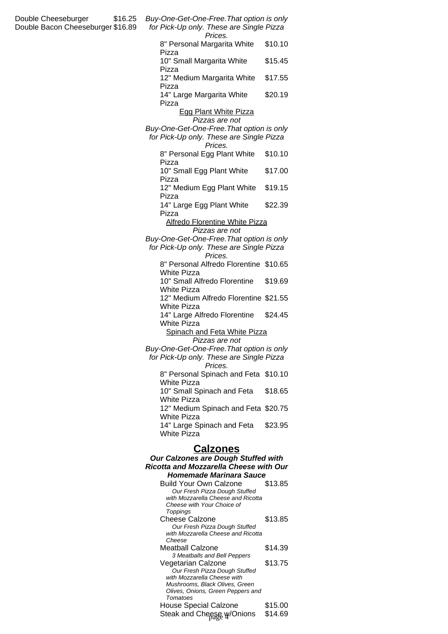| Double Cheeseburger<br>\$16.25<br>Double Bacon Cheeseburger \$16.89                  | Buy-One-Get-One-Free. That option is only<br>for Pick-Up only. These are Single Pizza<br>Prices.                                    |                    |
|--------------------------------------------------------------------------------------|-------------------------------------------------------------------------------------------------------------------------------------|--------------------|
|                                                                                      | 8" Personal Margarita White<br>Pizza                                                                                                | \$10.10            |
|                                                                                      | 10" Small Margarita White<br>Pizza                                                                                                  | \$15.45            |
|                                                                                      | 12" Medium Margarita White<br>Pizza                                                                                                 | \$17.55            |
|                                                                                      | 14" Large Margarita White<br>Pizza                                                                                                  | \$20.19            |
|                                                                                      | <b>Egg Plant White Pizza</b><br>Pizzas are not                                                                                      |                    |
|                                                                                      | Buy-One-Get-One-Free. That option is only<br>for Pick-Up only. These are Single Pizza<br>Prices.                                    |                    |
|                                                                                      | 8" Personal Egg Plant White<br>Pizza                                                                                                | \$10.10            |
|                                                                                      | 10" Small Egg Plant White<br>Pizza                                                                                                  | \$17.00            |
|                                                                                      | 12" Medium Egg Plant White<br>Pizza                                                                                                 | \$19.15            |
|                                                                                      | 14" Large Egg Plant White<br>Pizza                                                                                                  | \$22.39            |
|                                                                                      | <b>Alfredo Florentine White Pizza</b><br>Pizzas are not                                                                             |                    |
|                                                                                      | Buy-One-Get-One-Free. That option is only<br>for Pick-Up only. These are Single Pizza<br>Prices.                                    |                    |
|                                                                                      | 8" Personal Alfredo Florentine \$10.65<br>White Pizza                                                                               |                    |
|                                                                                      | 10" Small Alfredo Florentine<br><b>White Pizza</b>                                                                                  | \$19.69            |
|                                                                                      | 12" Medium Alfredo Florentine \$21.55<br><b>White Pizza</b>                                                                         |                    |
|                                                                                      | 14" Large Alfredo Florentine<br><b>White Pizza</b>                                                                                  | \$24.45            |
|                                                                                      | Spinach and Feta White Pizza<br>Pizzas are not                                                                                      |                    |
|                                                                                      | Buy-One-Get-One-Free. That option is only<br>for Pick-Up only. These are Single Pizza<br>Prices.                                    |                    |
|                                                                                      | 8" Personal Spinach and Feta \$10.10<br><b>White Pizza</b>                                                                          |                    |
|                                                                                      | 10" Small Spinach and Feta<br><b>White Pizza</b>                                                                                    | \$18.65            |
|                                                                                      | 12" Medium Spinach and Feta \$20.75<br><b>White Pizza</b>                                                                           |                    |
|                                                                                      | 14" Large Spinach and Feta<br>White Pizza                                                                                           | \$23.95            |
|                                                                                      | <b>Calzones</b>                                                                                                                     |                    |
| Our Calzones are Dough Stuffed with<br><b>Ricotta and Mozzarella Cheese with Our</b> |                                                                                                                                     |                    |
|                                                                                      | <b>Homemade Marinara Sauce</b><br><b>Build Your Own Calzone</b>                                                                     | \$13.85            |
|                                                                                      | Our Fresh Pizza Dough Stuffed<br>with Mozzarella Cheese and Ricotta<br>Cheese with Your Choice of                                   |                    |
|                                                                                      | Toppings<br><b>Cheese Calzone</b><br>Our Fresh Pizza Dough Stuffed<br>with Mozzarella Cheese and Ricotta                            | \$13.85            |
|                                                                                      | Cheese<br>Meatball Calzone                                                                                                          | \$14.39            |
|                                                                                      | 3 Meatballs and Bell Peppers<br>Vegetarian Calzone                                                                                  | \$13.75            |
|                                                                                      | Our Fresh Pizza Dough Stuffed<br>with Mozzarella Cheese with<br>Mushrooms, Black Olives, Green<br>Olives, Onions, Green Peppers and |                    |
|                                                                                      | Tomatoes<br><b>House Special Calzone</b>                                                                                            | \$15.00<br>\$14.69 |
|                                                                                      | Steak and Cheese w/Onions                                                                                                           |                    |